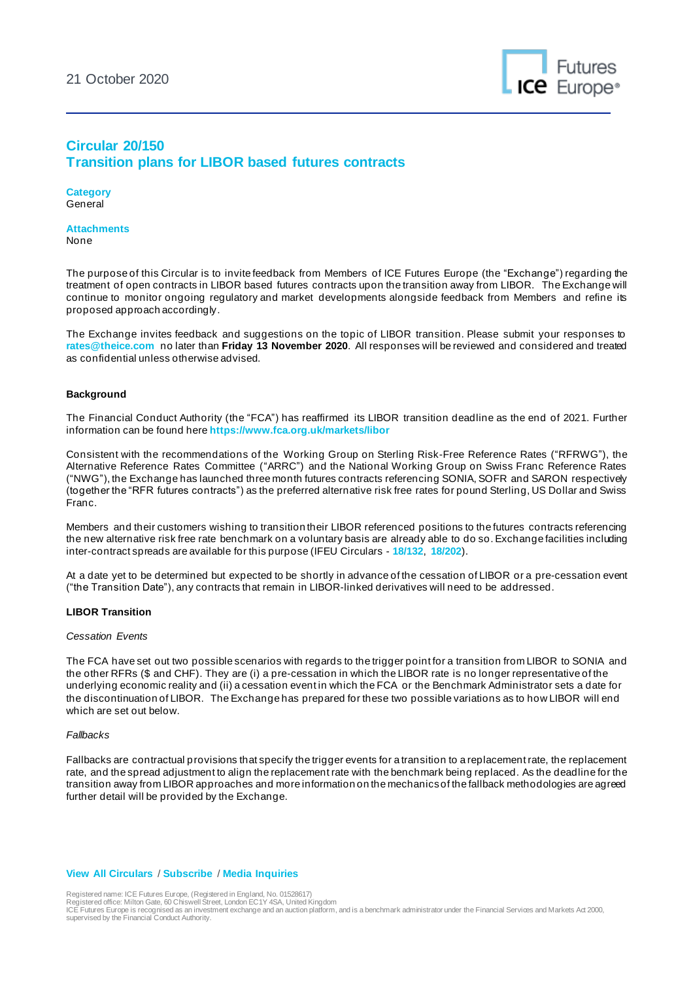

# **Circular 20/150 Transition plans for LIBOR based futures contracts**

**Category** General

**Attachments** None

The purpose of this Circular is to invite feedback from Members of ICE Futures Europe (the "Exchange") regarding the treatment of open contracts in LIBOR based futures contracts upon the transition away from LIBOR. The Exchange will continue to monitor ongoing regulatory and market developments alongside feedback from Members and refine its proposed approach accordingly.

The Exchange invites feedback and suggestions on the topic of LIBOR transition. Please submit your responses to **[rates@theice.com](mailto:rates@theice.com)** no later than **Friday 13 November 2020**. All responses will be reviewed and considered and treated as confidential unless otherwise advised.

### **Background**

The Financial Conduct Authority (the "FCA") has reaffirmed its LIBOR transition deadline as the end of 2021. Further information can be found here **<https://www.fca.org.uk/markets/libor>**

Consistent with the recommendations of the Working Group on Sterling Risk-Free Reference Rates ("RFRWG"), the Alternative Reference Rates Committee ("ARRC") and the National Working Group on Swiss Franc Reference Rates ("NWG"), the Exchange has launched three month futures contracts referencing SONIA, SOFR and SARON respectively (together the "RFR futures contracts") as the preferred alternative risk free rates for pound Sterling, US Dollar and Swiss Franc.

Members and their customers wishing to transition their LIBOR referenced positions to the futures contracts referencing the new alternative risk free rate benchmark on a voluntary basis are already able to do so. Exchange facilities including inter-contract spreads are available for this purpose (IFEU Circulars - **[18/132](https://www.theice.com/publicdocs/circulars/18132.pdf)**, **[18/202](https://www.theice.com/publicdocs/circulars/18202.pdf)**).

At a date yet to be determined but expected to be shortly in advance of the cessation of LIBOR or a pre-cessation event ("the Transition Date"), any contracts that remain in LIBOR-linked derivatives will need to be addressed.

### **LIBOR Transition**

### *Cessation Events*

The FCA have set out two possible scenarios with regards to the trigger point for a transition from LIBOR to SONIA and the other RFRs (\$ and CHF). They are (i) a pre-cessation in which the LIBOR rate is no longer representative of the underlying economic reality and (ii) a cessation event in which the FCA or the Benchmark Administrator sets a date for the discontinuation of LIBOR. The Exchange has prepared for these two possible variations as to how LIBOR will end which are set out below.

#### *Fallbacks*

Fallbacks are contractual provisions that specify the trigger events for a transition to a replacement rate, the replacement rate, and the spread adjustment to align the replacement rate with the benchmark being replaced. As the deadline for the transition away from LIBOR approaches and more information on the mechanics of the fallback methodologies are agreed further detail will be provided by the Exchange.

## **[View All Circulars](https://www.theice.com/futures-europe/circulars)** / **[Subscribe](https://www.theice.com/Subscription.shtml)** / **[Media Inquiries](mailto:media@theice.com)**

Registered name: ICE Futures Europe, (Registered in England, No. 01528617) Registered office: Milton Gate, 60 Chiswell Street, London EC1Y 4SA, United Kingdom

ICE Futures Europe is recognised as an investment exchange and an auction platform, and is a benchmark administrator under the Financial Services and Markets Act 2000, supervised by the Financial Conduct Authority.